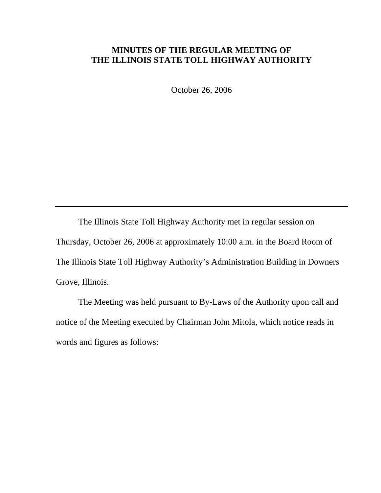## **MINUTES OF THE REGULAR MEETING OF THE ILLINOIS STATE TOLL HIGHWAY AUTHORITY**

October 26, 2006

 The Illinois State Toll Highway Authority met in regular session on Thursday, October 26, 2006 at approximately 10:00 a.m. in the Board Room of The Illinois State Toll Highway Authority's Administration Building in Downers Grove, Illinois.

 The Meeting was held pursuant to By-Laws of the Authority upon call and notice of the Meeting executed by Chairman John Mitola, which notice reads in words and figures as follows: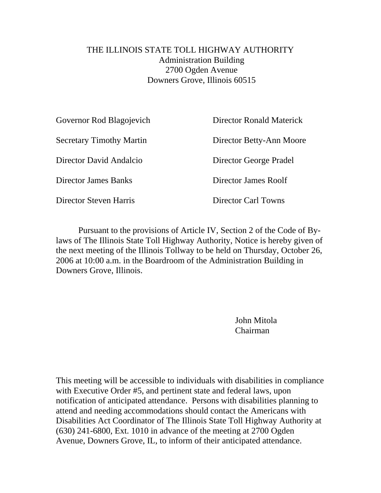## THE ILLINOIS STATE TOLL HIGHWAY AUTHORITY Administration Building 2700 Ogden Avenue Downers Grove, Illinois 60515

| Governor Rod Blagojevich        | Director Ronald Materick   |
|---------------------------------|----------------------------|
| <b>Secretary Timothy Martin</b> | Director Betty-Ann Moore   |
| Director David Andalcio         | Director George Pradel     |
| Director James Banks            | Director James Roolf       |
| Director Steven Harris          | <b>Director Carl Towns</b> |
|                                 |                            |

Pursuant to the provisions of Article IV, Section 2 of the Code of Bylaws of The Illinois State Toll Highway Authority, Notice is hereby given of the next meeting of the Illinois Tollway to be held on Thursday, October 26, 2006 at 10:00 a.m. in the Boardroom of the Administration Building in Downers Grove, Illinois.

> John Mitola Chairman

This meeting will be accessible to individuals with disabilities in compliance with Executive Order #5, and pertinent state and federal laws, upon notification of anticipated attendance. Persons with disabilities planning to attend and needing accommodations should contact the Americans with Disabilities Act Coordinator of The Illinois State Toll Highway Authority at (630) 241-6800, Ext. 1010 in advance of the meeting at 2700 Ogden Avenue, Downers Grove, IL, to inform of their anticipated attendance.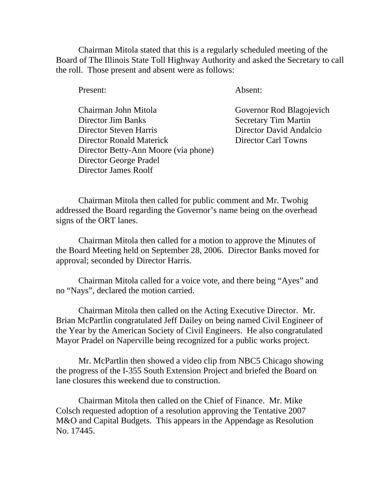Chairman Mitola stated that this is a regularly scheduled meeting of the Board of The Illinois State Toll Highway Authority and asked the Secretary to call the roll. Those present and absent were as follows:

Present: Absent:

 Chairman John Mitola Governor Rod Blagojevich Director Jim Banks Secretary Tim Martin Director Steven Harris Director David Andalcio Director Ronald Materick Director Carl Towns Director Betty-Ann Moore (via phone) Director George Pradel Director James Roolf

Chairman Mitola then called for public comment and Mr. Twohig addressed the Board regarding the Governor's name being on the overhead signs of the ORT lanes.

Chairman Mitola then called for a motion to approve the Minutes of the Board Meeting held on September 28, 2006. Director Banks moved for approval; seconded by Director Harris.

Chairman Mitola called for a voice vote, and there being "Ayes" and no "Nays", declared the motion carried.

Chairman Mitola then called on the Acting Executive Director. Mr. Brian McPartlin congratulated Jeff Dailey on being named Civil Engineer of the Year by the American Society of Civil Engineers. He also congratulated Mayor Pradel on Naperville being recognized for a public works project.

Mr. McPartlin then showed a video clip from NBC5 Chicago showing the progress of the I-355 South Extension Project and briefed the Board on lane closures this weekend due to construction.

Chairman Mitola then called on the Chief of Finance. Mr. Mike Colsch requested adoption of a resolution approving the Tentative 2007 M&O and Capital Budgets. This appears in the Appendage as Resolution No. 17445.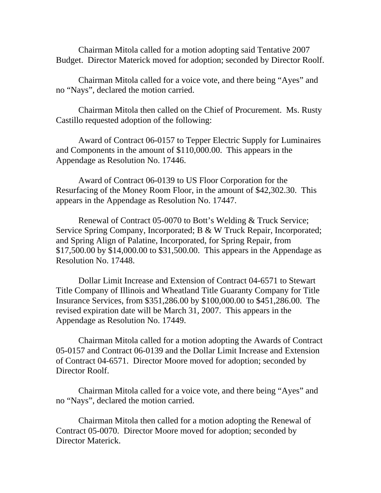Chairman Mitola called for a motion adopting said Tentative 2007 Budget. Director Materick moved for adoption; seconded by Director Roolf.

Chairman Mitola called for a voice vote, and there being "Ayes" and no "Nays", declared the motion carried.

Chairman Mitola then called on the Chief of Procurement. Ms. Rusty Castillo requested adoption of the following:

Award of Contract 06-0157 to Tepper Electric Supply for Luminaires and Components in the amount of \$110,000.00. This appears in the Appendage as Resolution No. 17446.

Award of Contract 06-0139 to US Floor Corporation for the Resurfacing of the Money Room Floor, in the amount of \$42,302.30. This appears in the Appendage as Resolution No. 17447.

Renewal of Contract 05-0070 to Bott's Welding & Truck Service; Service Spring Company, Incorporated; B & W Truck Repair, Incorporated; and Spring Align of Palatine, Incorporated, for Spring Repair, from \$17,500.00 by \$14,000.00 to \$31,500.00. This appears in the Appendage as Resolution No. 17448.

Dollar Limit Increase and Extension of Contract 04-6571 to Stewart Title Company of Illinois and Wheatland Title Guaranty Company for Title Insurance Services, from \$351,286.00 by \$100,000.00 to \$451,286.00. The revised expiration date will be March 31, 2007. This appears in the Appendage as Resolution No. 17449.

Chairman Mitola called for a motion adopting the Awards of Contract 05-0157 and Contract 06-0139 and the Dollar Limit Increase and Extension of Contract 04-6571. Director Moore moved for adoption; seconded by Director Roolf.

Chairman Mitola called for a voice vote, and there being "Ayes" and no "Nays", declared the motion carried.

Chairman Mitola then called for a motion adopting the Renewal of Contract 05-0070. Director Moore moved for adoption; seconded by Director Materick.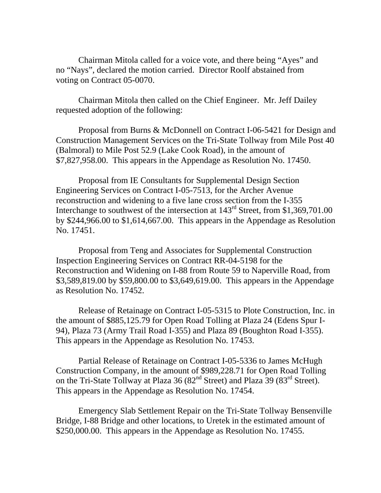Chairman Mitola called for a voice vote, and there being "Ayes" and no "Nays", declared the motion carried. Director Roolf abstained from voting on Contract 05-0070.

Chairman Mitola then called on the Chief Engineer. Mr. Jeff Dailey requested adoption of the following:

Proposal from Burns & McDonnell on Contract I-06-5421 for Design and Construction Management Services on the Tri-State Tollway from Mile Post 40 (Balmoral) to Mile Post 52.9 (Lake Cook Road), in the amount of \$7,827,958.00. This appears in the Appendage as Resolution No. 17450.

Proposal from IE Consultants for Supplemental Design Section Engineering Services on Contract I-05-7513, for the Archer Avenue reconstruction and widening to a five lane cross section from the I-355 Interchange to southwest of the intersection at  $143<sup>rd</sup>$  Street, from \$1,369,701.00 by \$244,966.00 to \$1,614,667.00. This appears in the Appendage as Resolution No. 17451.

Proposal from Teng and Associates for Supplemental Construction Inspection Engineering Services on Contract RR-04-5198 for the Reconstruction and Widening on I-88 from Route 59 to Naperville Road, from \$3,589,819.00 by \$59,800.00 to \$3,649,619.00. This appears in the Appendage as Resolution No. 17452.

Release of Retainage on Contract I-05-5315 to Plote Construction, Inc. in the amount of \$885,125.79 for Open Road Tolling at Plaza 24 (Edens Spur I-94), Plaza 73 (Army Trail Road I-355) and Plaza 89 (Boughton Road I-355). This appears in the Appendage as Resolution No. 17453.

Partial Release of Retainage on Contract I-05-5336 to James McHugh Construction Company, in the amount of \$989,228.71 for Open Road Tolling on the Tri-State Tollway at Plaza 36  $(82<sup>nd</sup> Street)$  and Plaza 39  $(83<sup>rd</sup> Street)$ . This appears in the Appendage as Resolution No. 17454.

Emergency Slab Settlement Repair on the Tri-State Tollway Bensenville Bridge, I-88 Bridge and other locations, to Uretek in the estimated amount of \$250,000.00. This appears in the Appendage as Resolution No. 17455.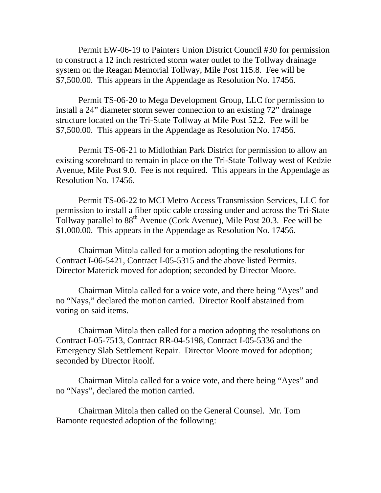Permit EW-06-19 to Painters Union District Council #30 for permission to construct a 12 inch restricted storm water outlet to the Tollway drainage system on the Reagan Memorial Tollway, Mile Post 115.8. Fee will be \$7,500.00. This appears in the Appendage as Resolution No. 17456.

Permit TS-06-20 to Mega Development Group, LLC for permission to install a 24" diameter storm sewer connection to an existing 72" drainage structure located on the Tri-State Tollway at Mile Post 52.2. Fee will be \$7,500.00. This appears in the Appendage as Resolution No. 17456.

Permit TS-06-21 to Midlothian Park District for permission to allow an existing scoreboard to remain in place on the Tri-State Tollway west of Kedzie Avenue, Mile Post 9.0. Fee is not required. This appears in the Appendage as Resolution No. 17456.

Permit TS-06-22 to MCI Metro Access Transmission Services, LLC for permission to install a fiber optic cable crossing under and across the Tri-State Tollway parallel to  $88<sup>th</sup>$  Avenue (Cork Avenue), Mile Post 20.3. Fee will be \$1,000.00. This appears in the Appendage as Resolution No. 17456.

Chairman Mitola called for a motion adopting the resolutions for Contract I-06-5421, Contract I-05-5315 and the above listed Permits. Director Materick moved for adoption; seconded by Director Moore.

Chairman Mitola called for a voice vote, and there being "Ayes" and no "Nays," declared the motion carried. Director Roolf abstained from voting on said items.

Chairman Mitola then called for a motion adopting the resolutions on Contract I-05-7513, Contract RR-04-5198, Contract I-05-5336 and the Emergency Slab Settlement Repair. Director Moore moved for adoption; seconded by Director Roolf.

Chairman Mitola called for a voice vote, and there being "Ayes" and no "Nays", declared the motion carried.

Chairman Mitola then called on the General Counsel. Mr. Tom Bamonte requested adoption of the following: